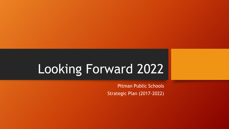# Looking Forward 2022

Pitman Public Schools Strategic Plan (2017-2022)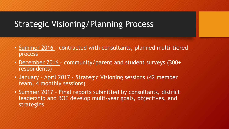# Strategic Visioning/Planning Process

- Summer 2016 contracted with consultants, planned multi-tiered process
- December 2016 community/parent and student surveys (300+ respondents)
- January April 2017 Strategic Visioning sessions (42 member team, 4 monthly sessions)
- Summer 2017 Final reports submitted by consultants, district leadership and BOE develop multi-year goals, objectives, and strategies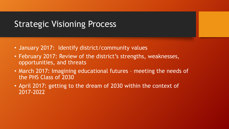# Strategic Visioning Process

- January 2017: Identify district/community values
- February 2017: Review of the district's strengths, weaknesses, opportunities, and threats
- March 2017: Imagining educational futures meeting the needs of the PHS Class of 2030
- April 2017: getting to the dream of 2030 within the context of 2017-2022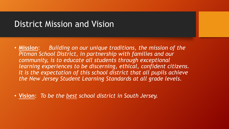### District Mission and Vision

• **Mission**: *Building on our unique traditions, the mission of the Pitman School District, in partnership with families and our community, is to educate all students through exceptional learning experiences to be discerning, ethical, confident citizens. It is the expectation of this school district that all pupils achieve the New Jersey Student Learning Standards at all grade levels.*

• **Vision**: *To be the best school district in South Jersey.*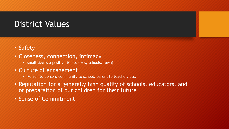# District Values

- Safety
- Closeness, connection, intimacy
	- small size is a positive (Class sizes, schools, town)
- Culture of engagement
	- Person to person; community to school; parent to teacher; etc.
- Reputation for a generally high quality of schools, educators, and of preparation of our children for their future
- Sense of Commitment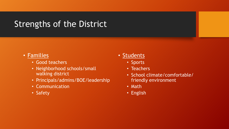# Strengths of the District

#### • Families

- Good teachers
- Neighborhood schools/small walking district
- Principals/admins/BOE/leadership
- Communication
- Safety

#### • Students

- Sports
- Teachers
- School climate/comfortable/ friendly environment
- Math
- English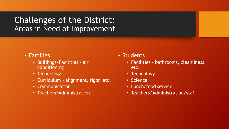### Challenges of the District: Areas in Need of Improvement

- Families
	- Buildings/Facilities air conditioning
	- Technology
	- Curriculum alignment, rigor, etc.
	- Communication
	- Teachers/Administration

#### • Students

- Facilities bathrooms, cleanliness, etc.
- Technology
- Science
- Lunch/food service
- Teachers/Administration/staff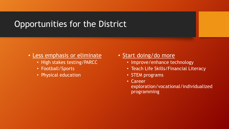# Opportunities for the District

#### • Less emphasis or eliminate

- High stakes testing/PARCC
- Football/Sports
- Physical education

#### • Start doing/do more

- Improve/enhance technology
- Teach Life Skills/Financial Literacy
- STEM programs
- Career
	- exploration/vocational/individualized programming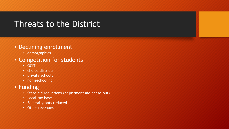# Threats to the District

#### • Declining enrollment

• demographics

#### • Competition for students

- GCIT
- choice districts
- private schools
- homeschooling

#### • Funding

- State aid reductions (adjustment aid phase-out)
- Local tax base
- Federal grants reduced
- Other revenues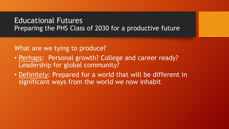#### Educational Futures Preparing the PHS Class of 2030 for a productive future

What are we tying to produce?

- Perhaps: Personal growth? College and career ready? Leadership for global community?
- Definitely: Prepared for a world that will be different in significant ways from the world we now inhabit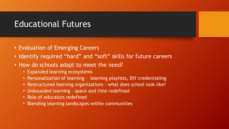### Educational Futures

- Evaluation of Emerging Careers
- Identify required "hard" and "soft" skills for future careers
- How do schools adapt to meet the need?
	- Expanded learning ecosystems
	- Personalization of learning learning playlists, DIY credentialing
	- Restructured learning organizations what does school look like?
	- Unbounded learning space and time redefined
	- Role of educators redefined
	- Blending learning landscapes within communities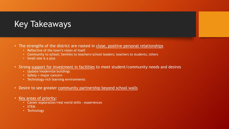# Key Takeaways

- The strengths of the district are rooted in close, positive personal relationships
	- Reflective of the town's vision of itself
	- Community to school; families to teachers/school leaders; teachers to students; others
	- Small size is a plus
- Strong support for investment in facilities to meet student/community needs and desires
	- Update/modernize buildings
	- Safety = major concern
	- Technology-rich learning environments
- Desire to see greater community partnership beyond school walls
- Key areas of priority:
	- Career exploration/real world skills experiences
	- STEM
	- Technology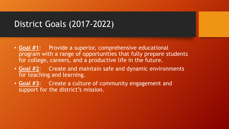# District Goals (2017-2022)

- **Goal #1**: Provide a superior, comprehensive educational program with a range of opportunities that fully prepare students for college, careers, and a productive life in the future.
- **Goal #2**: Create and maintain safe and dynamic environments for teaching and learning.
- **Goal #3**: Create a culture of community engagement and support for the district's mission.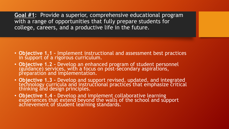**Goal #1**: Provide a superior, comprehensive educational program with a range of opportunities that fully prepare students for college, careers, and a productive life in the future.

- **Objective 1.1 –** Implement instructional and assessment best practices in support of a rigorous curriculum.
- **Objective 1.2 –** Develop an enhanced program of student personnel (guidance) services, with a focus on post-secondary aspirations, preparation and implementation.
- **Objective 1.3 –** Develop and support revised, updated, and integrated technology curricula and instructional practices that emphasize critical thinking and design principles.
- **Objective 1.4 –** Develop and implement collaborative learning experiences that extend beyond the walls of the school and support achievement of student learning standards.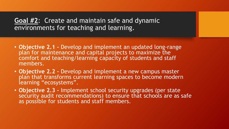#### **Goal #2**: Create and maintain safe and dynamic environments for teaching and learning.

- **Objective 2.1 –** Develop and implement an updated long-range plan for maintenance and capital projects to maximize the comfort and teaching/learning capacity of students and staff members.
- **Objective 2.2 –** Develop and implement a new campus master plan that transforms current learning spaces to become modern learning "ecosystems".
- **Objective 2.3 –** Implement school security upgrades (per state security audit recommendations) to ensure that schools are as safe as possible for students and staff members.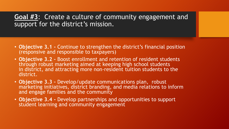**Goal #3**: Create a culture of community engagement and support for the district's mission.

- **Objective 3.1 -** Continue to strengthen the district's financial position (responsive and responsible to taxpayers)
- **Objective 3.2 –** Boost enrollment and retention of resident students through robust marketing aimed at keeping high school students in district, and attracting more non-resident tuition students to the district.
- **Objective 3.3 –** Develop/update communications plan, robust marketing initiatives, district branding, and media relations to inform and engage families and the community
- **Objective 3.4 -** Develop partnerships and opportunities to support student learning and community engagement